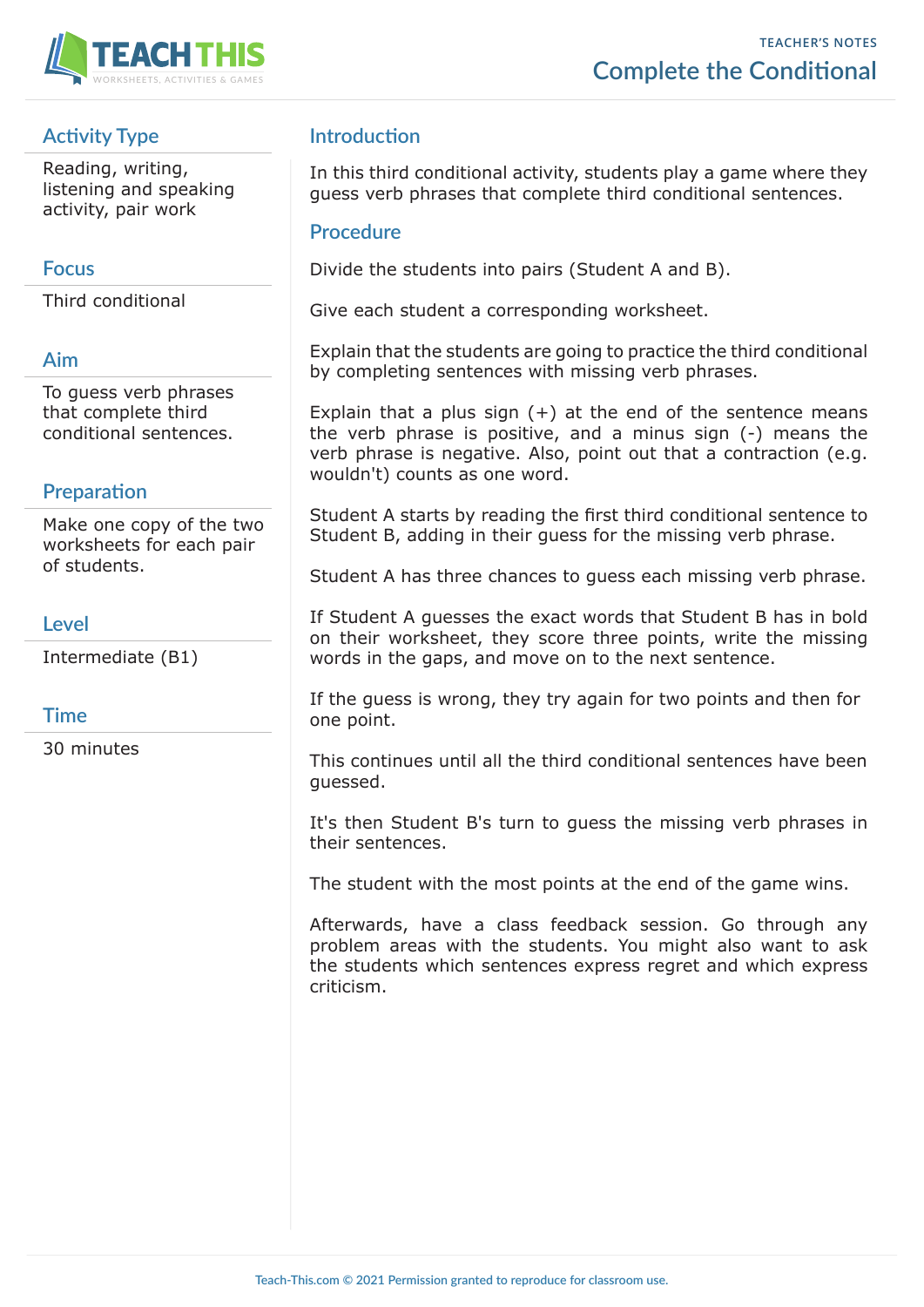

# **Activity Type**

Reading, writing, listening and speaking activity, pair work

# **Focus**

Third conditional

# **Aim**

To guess verb phrases that complete third conditional sentences.

# **Preparation**

Make one copy of the two worksheets for each pair of students.

## **Level**

Intermediate (B1)

# **Time**

30 minutes

# **Introduction**

In this third conditional activity, students play a game where they guess verb phrases that complete third conditional sentences.

#### **Procedure**

Divide the students into pairs (Student A and B).

Give each student a corresponding worksheet.

Explain that the students are going to practice the third conditional by completing sentences with missing verb phrases.

Explain that a plus sign  $(+)$  at the end of the sentence means the verb phrase is positive, and a minus sign (-) means the verb phrase is negative. Also, point out that a contraction (e.g. wouldn't) counts as one word.

Student A starts by reading the first third conditional sentence to Student B, adding in their guess for the missing verb phrase.

Student A has three chances to guess each missing verb phrase.

If Student A guesses the exact words that Student B has in bold on their worksheet, they score three points, write the missing words in the gaps, and move on to the next sentence.

If the guess is wrong, they try again for two points and then for one point.

This continues until all the third conditional sentences have been guessed.

It's then Student B's turn to guess the missing verb phrases in their sentences.

The student with the most points at the end of the game wins.

Afterwards, have a class feedback session. Go through any problem areas with the students. You might also want to ask the students which sentences express regret and which express criticism.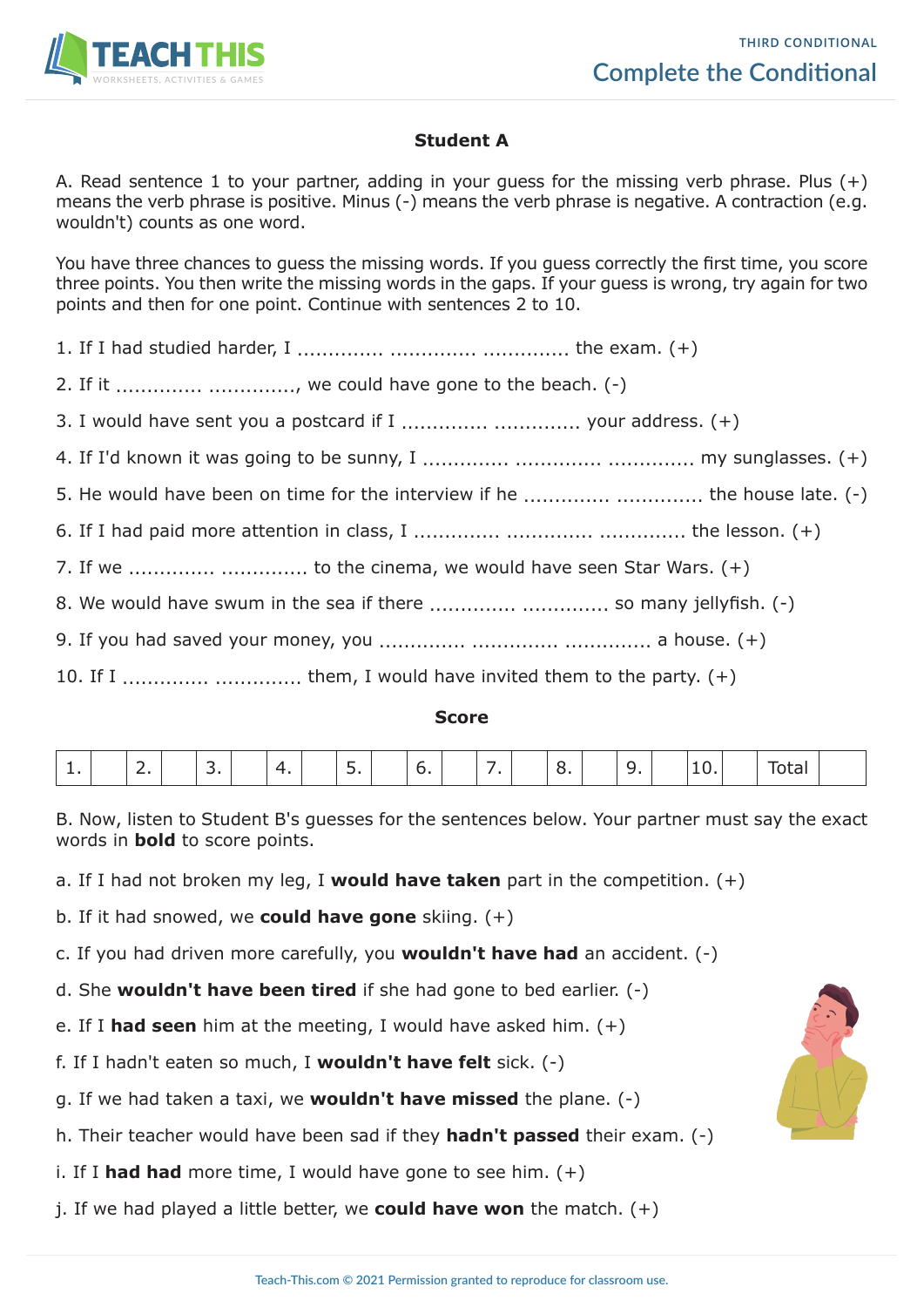

## **Student A**

A. Read sentence 1 to your partner, adding in your quess for the missing verb phrase. Plus  $(+)$ means the verb phrase is positive. Minus (-) means the verb phrase is negative. A contraction (e.g. wouldn't) counts as one word.

You have three chances to guess the missing words. If you guess correctly the first time, you score three points. You then write the missing words in the gaps. If your guess is wrong, try again for two points and then for one point. Continue with sentences 2 to 10.

1. If I had studied harder, I .............. .............. .............. the exam. (+)

2. If it  $\ldots$   $\ldots$   $\ldots$   $\ldots$   $\ldots$   $\ldots$  we could have gone to the beach. (-)

3. I would have sent you a postcard if I .............. .............. your address. (+)

4. If I'd known it was going to be sunny, I .............. .............. .............. my sunglasses. (+)

5. He would have been on time for the interview if he .............. ................ the house late. (-)

6. If I had paid more attention in class, I .............. .............. .............. the lesson. (+)

7. If we  $\ldots$   $\ldots$   $\ldots$   $\ldots$   $\ldots$   $\ldots$  to the cinema, we would have seen Star Wars.  $(+)$ 

8. We would have swum in the sea if there .............. .............. so many jellyfish. (-)

9. If you had saved your money, you .............. .............. .............. a house. (+)

10. If I  $\ldots$   $\ldots$   $\ldots$   $\ldots$   $\ldots$   $\ldots$  them, I would have invited them to the party.  $(+)$ 

#### **Score**

| -- |  |  |  |  |  |  |  |  |  |  |  | - |  | ັ |  |  |  |  |  |  |  |
|----|--|--|--|--|--|--|--|--|--|--|--|---|--|---|--|--|--|--|--|--|--|
|----|--|--|--|--|--|--|--|--|--|--|--|---|--|---|--|--|--|--|--|--|--|

B. Now, listen to Student B's guesses for the sentences below. Your partner must say the exact words in **bold** to score points.

a. If I had not broken my leg, I **would have taken** part in the competition. (+)

b. If it had snowed, we **could have gone** skiing. (+)

c. If you had driven more carefully, you **wouldn't have had** an accident. (-)

- d. She **wouldn't have been tired** if she had gone to bed earlier. (-)
- e. If I **had seen** him at the meeting, I would have asked him. (+)

f. If I hadn't eaten so much, I **wouldn't have felt** sick. (-)

g. If we had taken a taxi, we **wouldn't have missed** the plane. (-)

h. Their teacher would have been sad if they **hadn't passed** their exam. (-)

i. If I **had had** more time, I would have gone to see him. (+)

j. If we had played a little better, we **could have won** the match.  $(+)$